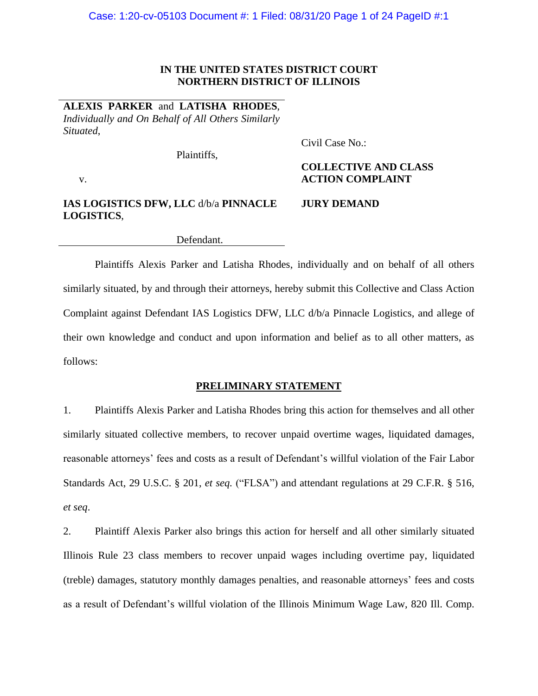### **IN THE UNITED STATES DISTRICT COURT NORTHERN DISTRICT OF ILLINOIS**

**ALEXIS PARKER** and **LATISHA RHODES**, *Individually and On Behalf of All Others Similarly Situated*,

Plaintiffs,

Civil Case No.:

v.

# **COLLECTIVE AND CLASS ACTION COMPLAINT**

#### **JURY DEMAND IAS LOGISTICS DFW, LLC** d/b/a **PINNACLE LOGISTICS**,

Defendant.

Plaintiffs Alexis Parker and Latisha Rhodes, individually and on behalf of all others similarly situated, by and through their attorneys, hereby submit this Collective and Class Action Complaint against Defendant IAS Logistics DFW, LLC d/b/a Pinnacle Logistics, and allege of their own knowledge and conduct and upon information and belief as to all other matters, as follows:

### **PRELIMINARY STATEMENT**

1. Plaintiffs Alexis Parker and Latisha Rhodes bring this action for themselves and all other similarly situated collective members, to recover unpaid overtime wages, liquidated damages, reasonable attorneys' fees and costs as a result of Defendant's willful violation of the Fair Labor Standards Act, 29 U.S.C. § 201, *et seq.* ("FLSA") and attendant regulations at 29 C.F.R. § 516, *et seq*.

2. Plaintiff Alexis Parker also brings this action for herself and all other similarly situated Illinois Rule 23 class members to recover unpaid wages including overtime pay, liquidated (treble) damages, statutory monthly damages penalties, and reasonable attorneys' fees and costs as a result of Defendant's willful violation of the Illinois Minimum Wage Law, 820 Ill. Comp.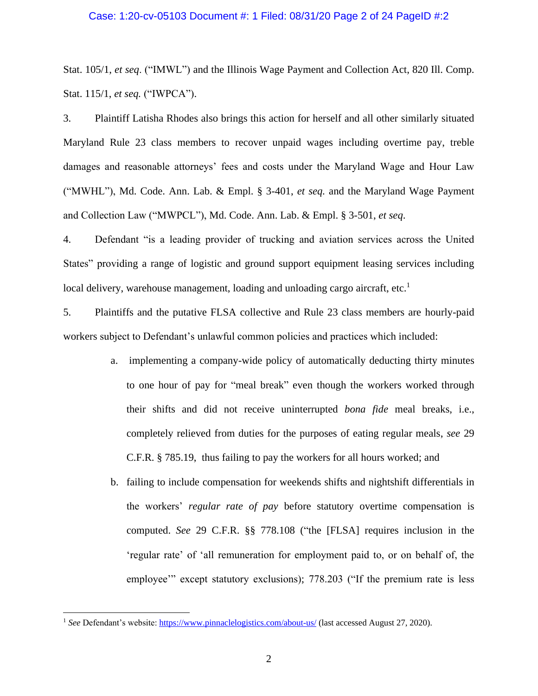### Case: 1:20-cv-05103 Document #: 1 Filed: 08/31/20 Page 2 of 24 PageID #:2

Stat. 105/1, *et seq*. ("IMWL") and the Illinois Wage Payment and Collection Act, 820 Ill. Comp. Stat. 115/1, *et seq.* ("IWPCA").

3. Plaintiff Latisha Rhodes also brings this action for herself and all other similarly situated Maryland Rule 23 class members to recover unpaid wages including overtime pay, treble damages and reasonable attorneys' fees and costs under the Maryland Wage and Hour Law ("MWHL"), Md. Code. Ann. Lab. & Empl. § 3-401, *et seq.* and the Maryland Wage Payment and Collection Law ("MWPCL"), Md. Code. Ann. Lab. & Empl. § 3-501, *et seq*.

4. Defendant "is a leading provider of trucking and aviation services across the United States" providing a range of logistic and ground support equipment leasing services including local delivery, warehouse management, loading and unloading cargo aircraft, etc.<sup>1</sup>

5. Plaintiffs and the putative FLSA collective and Rule 23 class members are hourly-paid workers subject to Defendant's unlawful common policies and practices which included:

- a. implementing a company-wide policy of automatically deducting thirty minutes to one hour of pay for "meal break" even though the workers worked through their shifts and did not receive uninterrupted *bona fide* meal breaks, i.e., completely relieved from duties for the purposes of eating regular meals, *see* 29 C.F.R. § 785.19, thus failing to pay the workers for all hours worked; and
- b. failing to include compensation for weekends shifts and nightshift differentials in the workers' *regular rate of pay* before statutory overtime compensation is computed. *See* 29 C.F.R. §§ 778.108 ("the [FLSA] requires inclusion in the 'regular rate' of 'all remuneration for employment paid to, or on behalf of, the employee'" except statutory exclusions); 778.203 ("If the premium rate is less

<sup>1</sup> *See* Defendant's website:<https://www.pinnaclelogistics.com/about-us/> (last accessed August 27, 2020).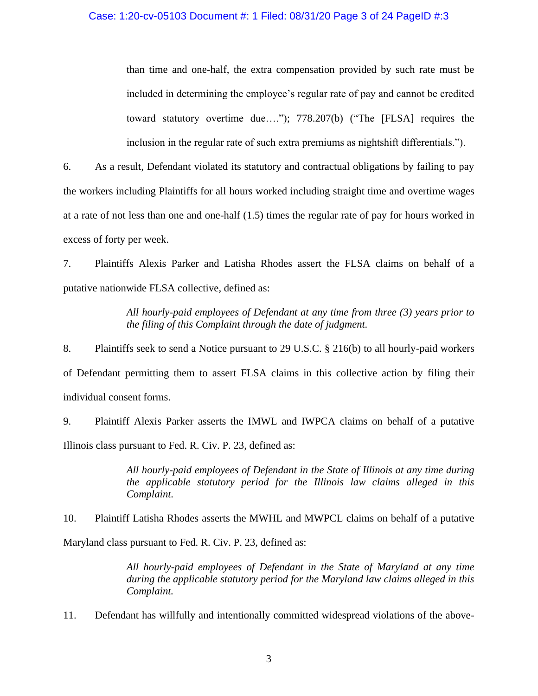than time and one-half, the extra compensation provided by such rate must be included in determining the employee's regular rate of pay and cannot be credited toward statutory overtime due…."); 778.207(b) ("The [FLSA] requires the inclusion in the regular rate of such extra premiums as nightshift differentials.").

6. As a result, Defendant violated its statutory and contractual obligations by failing to pay the workers including Plaintiffs for all hours worked including straight time and overtime wages at a rate of not less than one and one-half (1.5) times the regular rate of pay for hours worked in excess of forty per week.

7. Plaintiffs Alexis Parker and Latisha Rhodes assert the FLSA claims on behalf of a putative nationwide FLSA collective, defined as:

> *All hourly-paid employees of Defendant at any time from three (3) years prior to the filing of this Complaint through the date of judgment.*

8. Plaintiffs seek to send a Notice pursuant to 29 U.S.C. § 216(b) to all hourly-paid workers of Defendant permitting them to assert FLSA claims in this collective action by filing their individual consent forms.

9. Plaintiff Alexis Parker asserts the IMWL and IWPCA claims on behalf of a putative Illinois class pursuant to Fed. R. Civ. P. 23, defined as:

> *All hourly-paid employees of Defendant in the State of Illinois at any time during the applicable statutory period for the Illinois law claims alleged in this Complaint.*

10. Plaintiff Latisha Rhodes asserts the MWHL and MWPCL claims on behalf of a putative Maryland class pursuant to Fed. R. Civ. P. 23, defined as:

> *All hourly-paid employees of Defendant in the State of Maryland at any time during the applicable statutory period for the Maryland law claims alleged in this Complaint.*

11. Defendant has willfully and intentionally committed widespread violations of the above-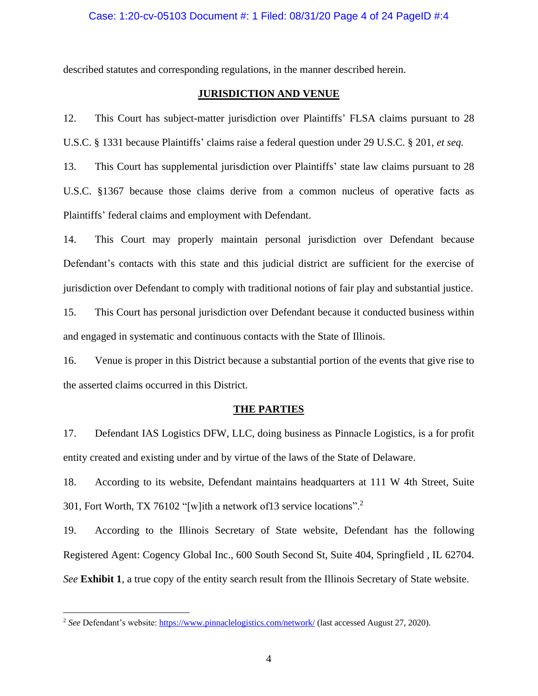described statutes and corresponding regulations, in the manner described herein.

### **JURISDICTION AND VENUE**

12. This Court has subject-matter jurisdiction over Plaintiffs' FLSA claims pursuant to 28 U.S.C. § 1331 because Plaintiffs' claims raise a federal question under 29 U.S.C. § 201, *et seq.*

13. This Court has supplemental jurisdiction over Plaintiffs' state law claims pursuant to 28 U.S.C. §1367 because those claims derive from a common nucleus of operative facts as Plaintiffs' federal claims and employment with Defendant.

14. This Court may properly maintain personal jurisdiction over Defendant because Defendant's contacts with this state and this judicial district are sufficient for the exercise of jurisdiction over Defendant to comply with traditional notions of fair play and substantial justice.

15. This Court has personal jurisdiction over Defendant because it conducted business within and engaged in systematic and continuous contacts with the State of Illinois.

16. Venue is proper in this District because a substantial portion of the events that give rise to the asserted claims occurred in this District.

#### **THE PARTIES**

17. Defendant IAS Logistics DFW, LLC, doing business as Pinnacle Logistics, is a for profit entity created and existing under and by virtue of the laws of the State of Delaware.

18. According to its website, Defendant maintains headquarters at 111 W 4th Street, Suite 301, Fort Worth, TX 76102 "[w]ith a network of13 service locations".<sup>2</sup>

19. According to the Illinois Secretary of State website, Defendant has the following Registered Agent: Cogency Global Inc., 600 South Second St, Suite 404, Springfield , IL 62704. *See* **Exhibit 1**, a true copy of the entity search result from the Illinois Secretary of State website.

<sup>2</sup> *See* Defendant's website:<https://www.pinnaclelogistics.com/network/> (last accessed August 27, 2020).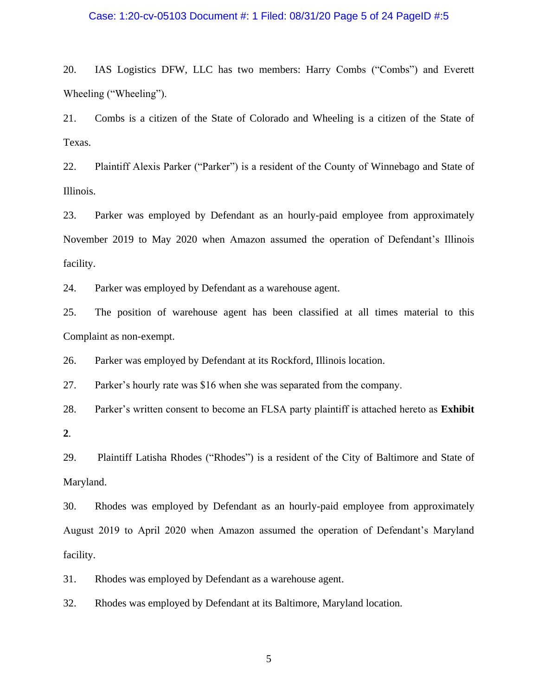### Case: 1:20-cv-05103 Document #: 1 Filed: 08/31/20 Page 5 of 24 PageID #:5

20. IAS Logistics DFW, LLC has two members: Harry Combs ("Combs") and Everett Wheeling ("Wheeling").

21. Combs is a citizen of the State of Colorado and Wheeling is a citizen of the State of Texas.

22. Plaintiff Alexis Parker ("Parker") is a resident of the County of Winnebago and State of Illinois.

23. Parker was employed by Defendant as an hourly-paid employee from approximately November 2019 to May 2020 when Amazon assumed the operation of Defendant's Illinois facility.

24. Parker was employed by Defendant as a warehouse agent.

25. The position of warehouse agent has been classified at all times material to this Complaint as non-exempt.

26. Parker was employed by Defendant at its Rockford, Illinois location.

27. Parker's hourly rate was \$16 when she was separated from the company.

28. Parker's written consent to become an FLSA party plaintiff is attached hereto as **Exhibit** 

**2**.

29. Plaintiff Latisha Rhodes ("Rhodes") is a resident of the City of Baltimore and State of Maryland.

30. Rhodes was employed by Defendant as an hourly-paid employee from approximately August 2019 to April 2020 when Amazon assumed the operation of Defendant's Maryland facility.

31. Rhodes was employed by Defendant as a warehouse agent.

32. Rhodes was employed by Defendant at its Baltimore, Maryland location.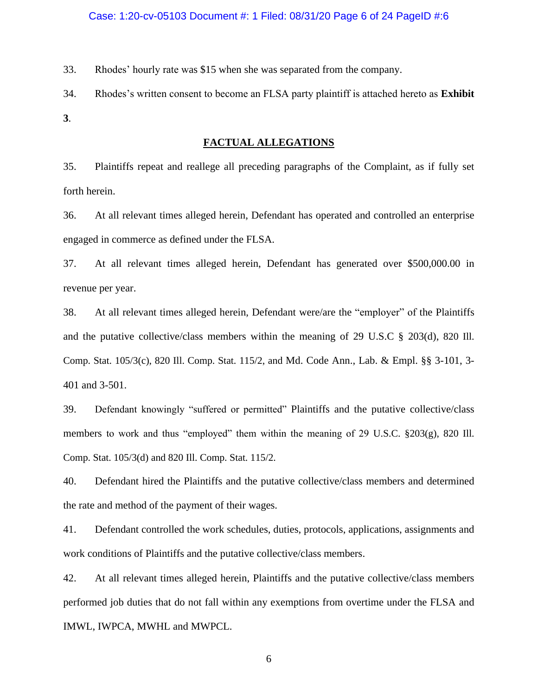33. Rhodes' hourly rate was \$15 when she was separated from the company.

34. Rhodes's written consent to become an FLSA party plaintiff is attached hereto as **Exhibit 3**.

### **FACTUAL ALLEGATIONS**

35. Plaintiffs repeat and reallege all preceding paragraphs of the Complaint, as if fully set forth herein.

36. At all relevant times alleged herein, Defendant has operated and controlled an enterprise engaged in commerce as defined under the FLSA.

37. At all relevant times alleged herein, Defendant has generated over \$500,000.00 in revenue per year.

38. At all relevant times alleged herein, Defendant were/are the "employer" of the Plaintiffs and the putative collective/class members within the meaning of 29 U.S.C § 203(d), 820 Ill. Comp. Stat. 105/3(c), 820 Ill. Comp. Stat. 115/2, and Md. Code Ann., Lab. & Empl. §§ 3-101, 3- 401 and 3-501.

39. Defendant knowingly "suffered or permitted" Plaintiffs and the putative collective/class members to work and thus "employed" them within the meaning of 29 U.S.C. §203(g), 820 Ill. Comp. Stat. 105/3(d) and 820 Ill. Comp. Stat. 115/2.

40. Defendant hired the Plaintiffs and the putative collective/class members and determined the rate and method of the payment of their wages.

41. Defendant controlled the work schedules, duties, protocols, applications, assignments and work conditions of Plaintiffs and the putative collective/class members.

42. At all relevant times alleged herein, Plaintiffs and the putative collective/class members performed job duties that do not fall within any exemptions from overtime under the FLSA and IMWL, IWPCA, MWHL and MWPCL.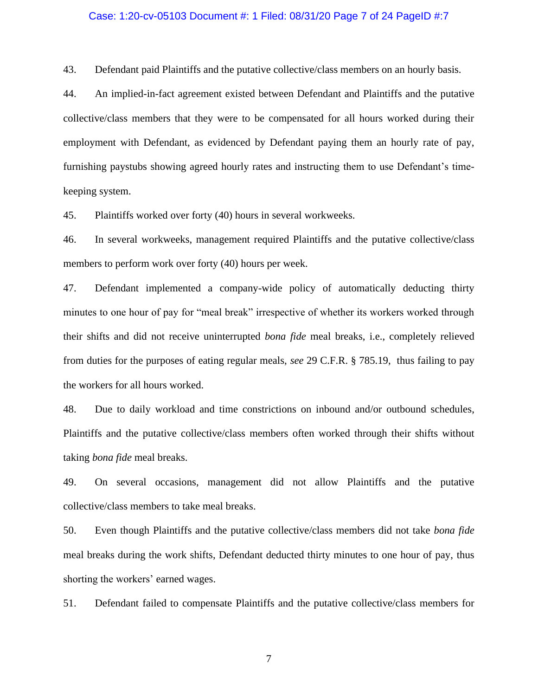### Case: 1:20-cv-05103 Document #: 1 Filed: 08/31/20 Page 7 of 24 PageID #:7

43. Defendant paid Plaintiffs and the putative collective/class members on an hourly basis.

44. An implied-in-fact agreement existed between Defendant and Plaintiffs and the putative collective/class members that they were to be compensated for all hours worked during their employment with Defendant, as evidenced by Defendant paying them an hourly rate of pay, furnishing paystubs showing agreed hourly rates and instructing them to use Defendant's timekeeping system.

45. Plaintiffs worked over forty (40) hours in several workweeks.

46. In several workweeks, management required Plaintiffs and the putative collective/class members to perform work over forty (40) hours per week.

47. Defendant implemented a company-wide policy of automatically deducting thirty minutes to one hour of pay for "meal break" irrespective of whether its workers worked through their shifts and did not receive uninterrupted *bona fide* meal breaks, i.e., completely relieved from duties for the purposes of eating regular meals, *see* 29 C.F.R. § 785.19, thus failing to pay the workers for all hours worked.

48. Due to daily workload and time constrictions on inbound and/or outbound schedules, Plaintiffs and the putative collective/class members often worked through their shifts without taking *bona fide* meal breaks.

49. On several occasions, management did not allow Plaintiffs and the putative collective/class members to take meal breaks.

50. Even though Plaintiffs and the putative collective/class members did not take *bona fide* meal breaks during the work shifts, Defendant deducted thirty minutes to one hour of pay, thus shorting the workers' earned wages.

51. Defendant failed to compensate Plaintiffs and the putative collective/class members for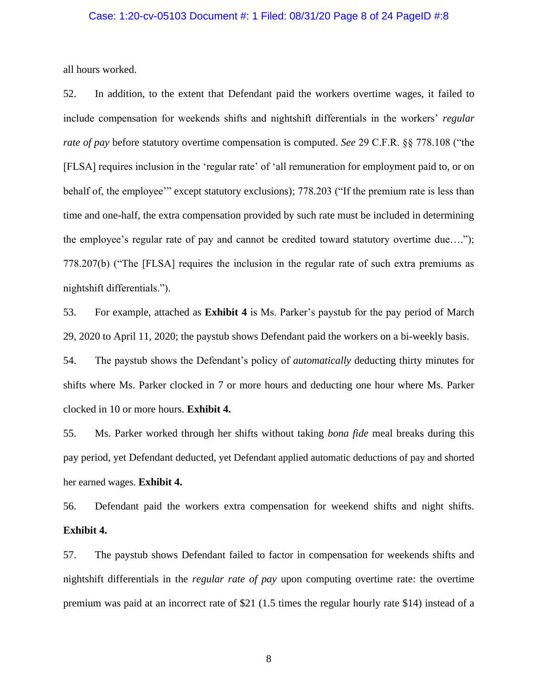### Case: 1:20-cv-05103 Document #: 1 Filed: 08/31/20 Page 8 of 24 PageID #:8

all hours worked.

52. In addition, to the extent that Defendant paid the workers overtime wages, it failed to include compensation for weekends shifts and nightshift differentials in the workers' *regular rate of pay* before statutory overtime compensation is computed. *See* 29 C.F.R. §§ 778.108 ("the [FLSA] requires inclusion in the 'regular rate' of 'all remuneration for employment paid to, or on behalf of, the employee'" except statutory exclusions); 778.203 ("If the premium rate is less than time and one-half, the extra compensation provided by such rate must be included in determining the employee's regular rate of pay and cannot be credited toward statutory overtime due…."); 778.207(b) ("The [FLSA] requires the inclusion in the regular rate of such extra premiums as nightshift differentials.").

53. For example, attached as **Exhibit 4** is Ms. Parker's paystub for the pay period of March 29, 2020 to April 11, 2020; the paystub shows Defendant paid the workers on a bi-weekly basis.

54. The paystub shows the Defendant's policy of *automatically* deducting thirty minutes for shifts where Ms. Parker clocked in 7 or more hours and deducting one hour where Ms. Parker clocked in 10 or more hours. **Exhibit 4.**

55. Ms. Parker worked through her shifts without taking *bona fide* meal breaks during this pay period, yet Defendant deducted, yet Defendant applied automatic deductions of pay and shorted her earned wages. **Exhibit 4.**

56. Defendant paid the workers extra compensation for weekend shifts and night shifts. **Exhibit 4.**

57. The paystub shows Defendant failed to factor in compensation for weekends shifts and nightshift differentials in the *regular rate of pay* upon computing overtime rate: the overtime premium was paid at an incorrect rate of \$21 (1.5 times the regular hourly rate \$14) instead of a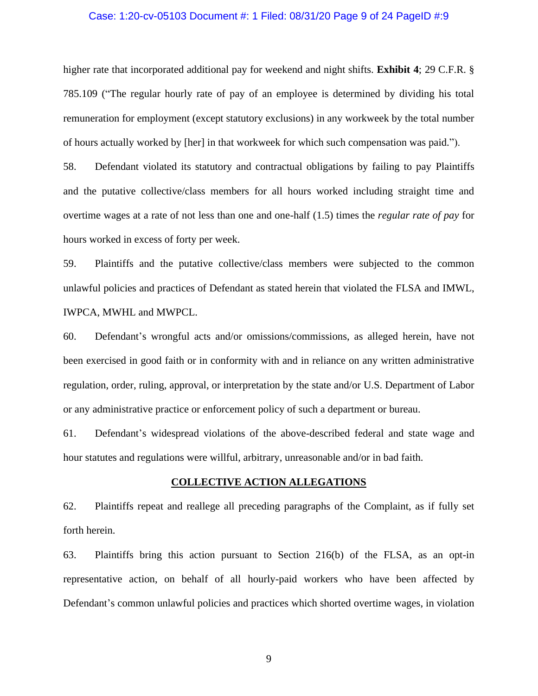### Case: 1:20-cv-05103 Document #: 1 Filed: 08/31/20 Page 9 of 24 PageID #:9

higher rate that incorporated additional pay for weekend and night shifts. **Exhibit 4**; 29 C.F.R. § 785.109 ("The regular hourly rate of pay of an employee is determined by dividing his total remuneration for employment (except statutory exclusions) in any workweek by the total number of hours actually worked by [her] in that workweek for which such compensation was paid.").

58. Defendant violated its statutory and contractual obligations by failing to pay Plaintiffs and the putative collective/class members for all hours worked including straight time and overtime wages at a rate of not less than one and one-half (1.5) times the *regular rate of pay* for hours worked in excess of forty per week.

59. Plaintiffs and the putative collective/class members were subjected to the common unlawful policies and practices of Defendant as stated herein that violated the FLSA and IMWL, IWPCA, MWHL and MWPCL.

60. Defendant's wrongful acts and/or omissions/commissions, as alleged herein, have not been exercised in good faith or in conformity with and in reliance on any written administrative regulation, order, ruling, approval, or interpretation by the state and/or U.S. Department of Labor or any administrative practice or enforcement policy of such a department or bureau.

61. Defendant's widespread violations of the above-described federal and state wage and hour statutes and regulations were willful, arbitrary, unreasonable and/or in bad faith.

### **COLLECTIVE ACTION ALLEGATIONS**

62. Plaintiffs repeat and reallege all preceding paragraphs of the Complaint, as if fully set forth herein.

63. Plaintiffs bring this action pursuant to Section 216(b) of the FLSA, as an opt-in representative action, on behalf of all hourly-paid workers who have been affected by Defendant's common unlawful policies and practices which shorted overtime wages, in violation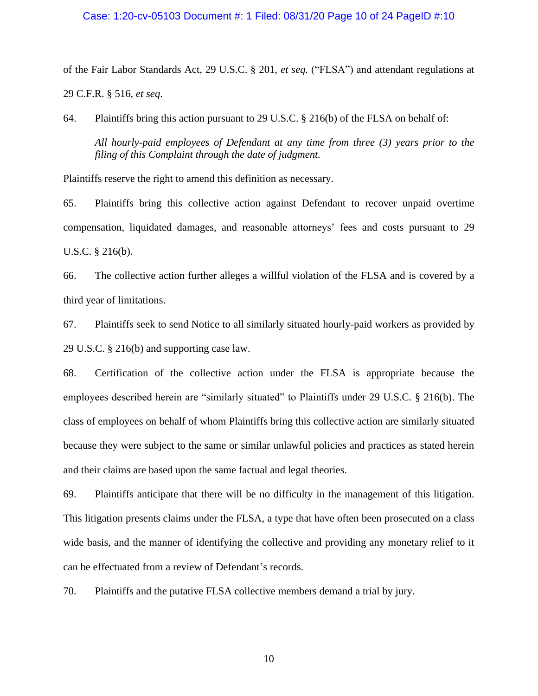### Case: 1:20-cv-05103 Document #: 1 Filed: 08/31/20 Page 10 of 24 PageID #:10

of the Fair Labor Standards Act, 29 U.S.C. § 201, *et seq.* ("FLSA") and attendant regulations at 29 C.F.R. § 516, *et seq*.

64. Plaintiffs bring this action pursuant to 29 U.S.C. § 216(b) of the FLSA on behalf of:

*All hourly-paid employees of Defendant at any time from three (3) years prior to the filing of this Complaint through the date of judgment.*

Plaintiffs reserve the right to amend this definition as necessary.

65. Plaintiffs bring this collective action against Defendant to recover unpaid overtime compensation, liquidated damages, and reasonable attorneys' fees and costs pursuant to 29 U.S.C. § 216(b).

66. The collective action further alleges a willful violation of the FLSA and is covered by a third year of limitations.

67. Plaintiffs seek to send Notice to all similarly situated hourly-paid workers as provided by 29 U.S.C. § 216(b) and supporting case law.

68. Certification of the collective action under the FLSA is appropriate because the employees described herein are "similarly situated" to Plaintiffs under 29 U.S.C. § 216(b). The class of employees on behalf of whom Plaintiffs bring this collective action are similarly situated because they were subject to the same or similar unlawful policies and practices as stated herein and their claims are based upon the same factual and legal theories.

69. Plaintiffs anticipate that there will be no difficulty in the management of this litigation. This litigation presents claims under the FLSA, a type that have often been prosecuted on a class wide basis, and the manner of identifying the collective and providing any monetary relief to it can be effectuated from a review of Defendant's records.

70. Plaintiffs and the putative FLSA collective members demand a trial by jury.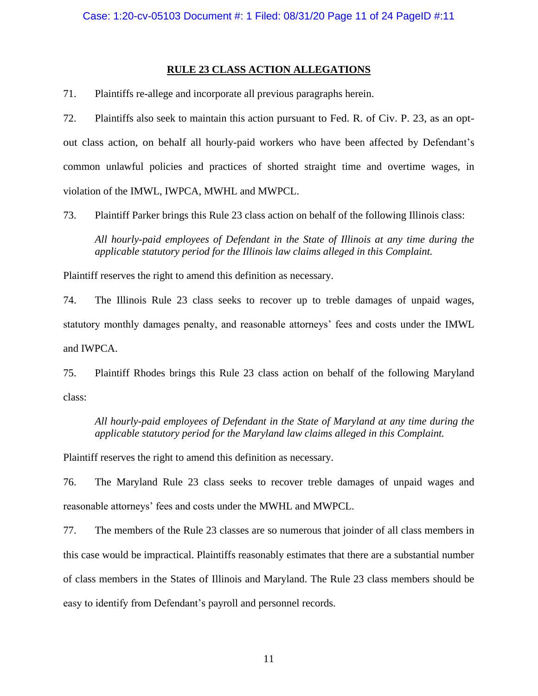# **RULE 23 CLASS ACTION ALLEGATIONS**

71. Plaintiffs re-allege and incorporate all previous paragraphs herein.

72. Plaintiffs also seek to maintain this action pursuant to Fed. R. of Civ. P. 23, as an optout class action, on behalf all hourly-paid workers who have been affected by Defendant's common unlawful policies and practices of shorted straight time and overtime wages, in violation of the IMWL, IWPCA, MWHL and MWPCL.

73. Plaintiff Parker brings this Rule 23 class action on behalf of the following Illinois class:

*All hourly-paid employees of Defendant in the State of Illinois at any time during the applicable statutory period for the Illinois law claims alleged in this Complaint.*

Plaintiff reserves the right to amend this definition as necessary.

74. The Illinois Rule 23 class seeks to recover up to treble damages of unpaid wages, statutory monthly damages penalty, and reasonable attorneys' fees and costs under the IMWL and IWPCA.

75. Plaintiff Rhodes brings this Rule 23 class action on behalf of the following Maryland class:

*All hourly-paid employees of Defendant in the State of Maryland at any time during the applicable statutory period for the Maryland law claims alleged in this Complaint.*

Plaintiff reserves the right to amend this definition as necessary.

76. The Maryland Rule 23 class seeks to recover treble damages of unpaid wages and reasonable attorneys' fees and costs under the MWHL and MWPCL.

77. The members of the Rule 23 classes are so numerous that joinder of all class members in this case would be impractical. Plaintiffs reasonably estimates that there are a substantial number of class members in the States of Illinois and Maryland. The Rule 23 class members should be easy to identify from Defendant's payroll and personnel records.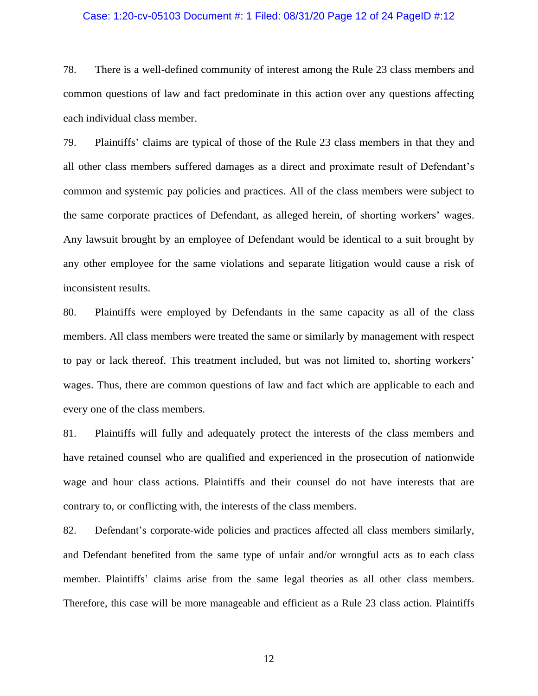### Case: 1:20-cv-05103 Document #: 1 Filed: 08/31/20 Page 12 of 24 PageID #:12

78. There is a well-defined community of interest among the Rule 23 class members and common questions of law and fact predominate in this action over any questions affecting each individual class member.

79. Plaintiffs' claims are typical of those of the Rule 23 class members in that they and all other class members suffered damages as a direct and proximate result of Defendant's common and systemic pay policies and practices. All of the class members were subject to the same corporate practices of Defendant, as alleged herein, of shorting workers' wages. Any lawsuit brought by an employee of Defendant would be identical to a suit brought by any other employee for the same violations and separate litigation would cause a risk of inconsistent results.

80. Plaintiffs were employed by Defendants in the same capacity as all of the class members. All class members were treated the same or similarly by management with respect to pay or lack thereof. This treatment included, but was not limited to, shorting workers' wages. Thus, there are common questions of law and fact which are applicable to each and every one of the class members.

81. Plaintiffs will fully and adequately protect the interests of the class members and have retained counsel who are qualified and experienced in the prosecution of nationwide wage and hour class actions. Plaintiffs and their counsel do not have interests that are contrary to, or conflicting with, the interests of the class members.

82. Defendant's corporate-wide policies and practices affected all class members similarly, and Defendant benefited from the same type of unfair and/or wrongful acts as to each class member. Plaintiffs' claims arise from the same legal theories as all other class members. Therefore, this case will be more manageable and efficient as a Rule 23 class action. Plaintiffs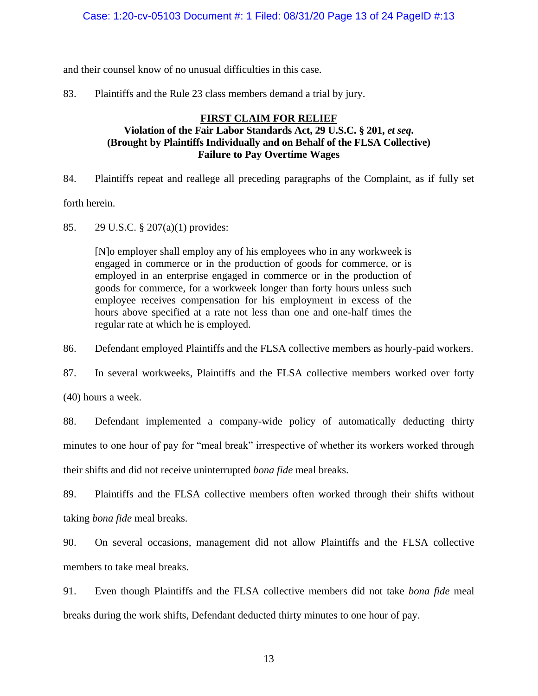and their counsel know of no unusual difficulties in this case.

83. Plaintiffs and the Rule 23 class members demand a trial by jury.

# **FIRST CLAIM FOR RELIEF Violation of the Fair Labor Standards Act, 29 U.S.C. § 201,** *et seq***. (Brought by Plaintiffs Individually and on Behalf of the FLSA Collective) Failure to Pay Overtime Wages**

84. Plaintiffs repeat and reallege all preceding paragraphs of the Complaint, as if fully set forth herein.

85. 29 U.S.C. § 207(a)(1) provides:

[N]o employer shall employ any of his employees who in any workweek is engaged in commerce or in the production of goods for commerce, or is employed in an enterprise engaged in commerce or in the production of goods for commerce, for a workweek longer than forty hours unless such employee receives compensation for his employment in excess of the hours above specified at a rate not less than one and one-half times the regular rate at which he is employed.

86. Defendant employed Plaintiffs and the FLSA collective members as hourly-paid workers.

87. In several workweeks, Plaintiffs and the FLSA collective members worked over forty

(40) hours a week.

88. Defendant implemented a company-wide policy of automatically deducting thirty minutes to one hour of pay for "meal break" irrespective of whether its workers worked through their shifts and did not receive uninterrupted *bona fide* meal breaks.

89. Plaintiffs and the FLSA collective members often worked through their shifts without taking *bona fide* meal breaks.

90. On several occasions, management did not allow Plaintiffs and the FLSA collective members to take meal breaks.

91. Even though Plaintiffs and the FLSA collective members did not take *bona fide* meal breaks during the work shifts, Defendant deducted thirty minutes to one hour of pay.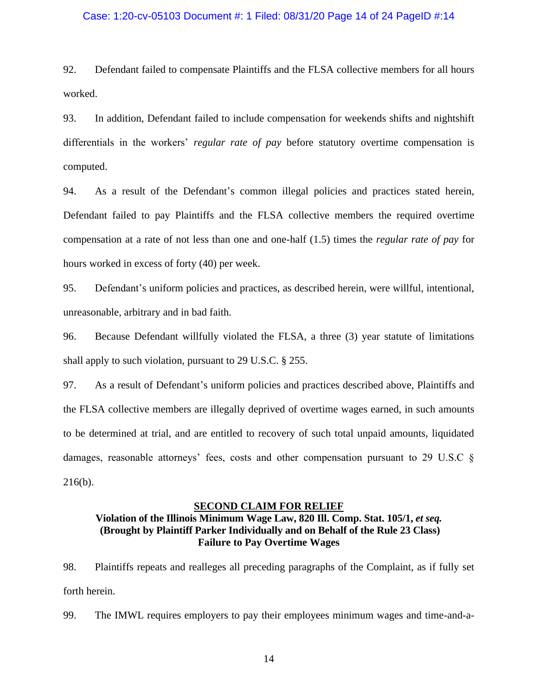### Case: 1:20-cv-05103 Document #: 1 Filed: 08/31/20 Page 14 of 24 PageID #:14

92. Defendant failed to compensate Plaintiffs and the FLSA collective members for all hours worked.

93. In addition, Defendant failed to include compensation for weekends shifts and nightshift differentials in the workers' *regular rate of pay* before statutory overtime compensation is computed.

94. As a result of the Defendant's common illegal policies and practices stated herein, Defendant failed to pay Plaintiffs and the FLSA collective members the required overtime compensation at a rate of not less than one and one-half (1.5) times the *regular rate of pay* for hours worked in excess of forty (40) per week.

95. Defendant's uniform policies and practices, as described herein, were willful, intentional, unreasonable, arbitrary and in bad faith.

96. Because Defendant willfully violated the FLSA, a three (3) year statute of limitations shall apply to such violation, pursuant to 29 U.S.C. § 255.

97. As a result of Defendant's uniform policies and practices described above, Plaintiffs and the FLSA collective members are illegally deprived of overtime wages earned, in such amounts to be determined at trial, and are entitled to recovery of such total unpaid amounts, liquidated damages, reasonable attorneys' fees, costs and other compensation pursuant to 29 U.S.C § 216(b).

#### **SECOND CLAIM FOR RELIEF**

# **Violation of the Illinois Minimum Wage Law, 820 Ill. Comp. Stat. 105/1,** *et seq.* **(Brought by Plaintiff Parker Individually and on Behalf of the Rule 23 Class) Failure to Pay Overtime Wages**

98. Plaintiffs repeats and realleges all preceding paragraphs of the Complaint, as if fully set forth herein.

99. The IMWL requires employers to pay their employees minimum wages and time-and-a-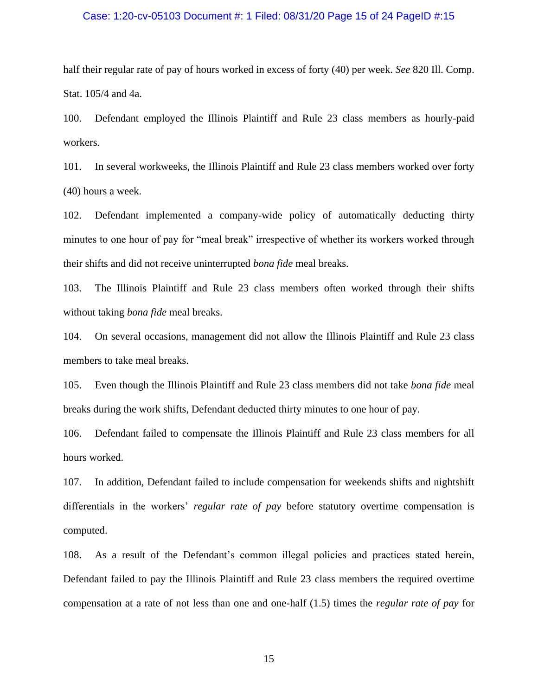### Case: 1:20-cv-05103 Document #: 1 Filed: 08/31/20 Page 15 of 24 PageID #:15

half their regular rate of pay of hours worked in excess of forty (40) per week. *See* 820 Ill. Comp. Stat. 105/4 and 4a.

100. Defendant employed the Illinois Plaintiff and Rule 23 class members as hourly-paid workers.

101. In several workweeks, the Illinois Plaintiff and Rule 23 class members worked over forty (40) hours a week.

102. Defendant implemented a company-wide policy of automatically deducting thirty minutes to one hour of pay for "meal break" irrespective of whether its workers worked through their shifts and did not receive uninterrupted *bona fide* meal breaks.

103. The Illinois Plaintiff and Rule 23 class members often worked through their shifts without taking *bona fide* meal breaks.

104. On several occasions, management did not allow the Illinois Plaintiff and Rule 23 class members to take meal breaks.

105. Even though the Illinois Plaintiff and Rule 23 class members did not take *bona fide* meal breaks during the work shifts, Defendant deducted thirty minutes to one hour of pay.

106. Defendant failed to compensate the Illinois Plaintiff and Rule 23 class members for all hours worked.

107. In addition, Defendant failed to include compensation for weekends shifts and nightshift differentials in the workers' *regular rate of pay* before statutory overtime compensation is computed.

108. As a result of the Defendant's common illegal policies and practices stated herein, Defendant failed to pay the Illinois Plaintiff and Rule 23 class members the required overtime compensation at a rate of not less than one and one-half (1.5) times the *regular rate of pay* for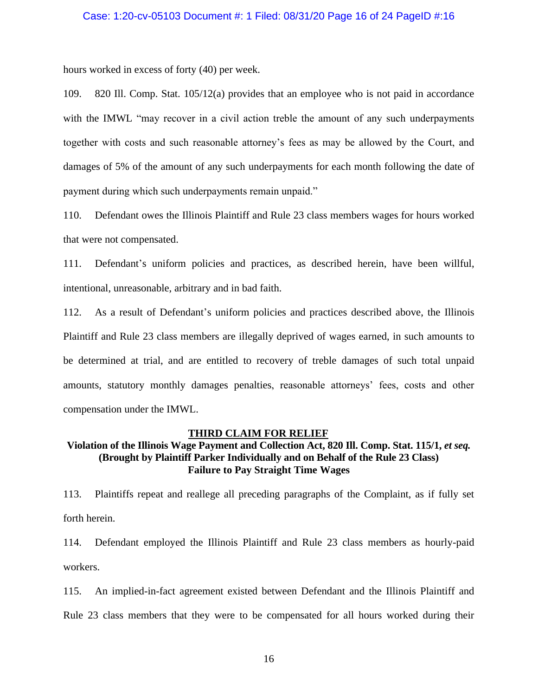### Case: 1:20-cv-05103 Document #: 1 Filed: 08/31/20 Page 16 of 24 PageID #:16

hours worked in excess of forty (40) per week.

109. 820 Ill. Comp. Stat. 105/12(a) provides that an employee who is not paid in accordance with the IMWL "may recover in a civil action treble the amount of any such underpayments together with costs and such reasonable attorney's fees as may be allowed by the Court, and damages of 5% of the amount of any such underpayments for each month following the date of payment during which such underpayments remain unpaid."

110. Defendant owes the Illinois Plaintiff and Rule 23 class members wages for hours worked that were not compensated.

111. Defendant's uniform policies and practices, as described herein, have been willful, intentional, unreasonable, arbitrary and in bad faith.

112. As a result of Defendant's uniform policies and practices described above, the Illinois Plaintiff and Rule 23 class members are illegally deprived of wages earned, in such amounts to be determined at trial, and are entitled to recovery of treble damages of such total unpaid amounts, statutory monthly damages penalties, reasonable attorneys' fees, costs and other compensation under the IMWL.

#### **THIRD CLAIM FOR RELIEF**

# **Violation of the Illinois Wage Payment and Collection Act, 820 Ill. Comp. Stat. 115/1,** *et seq.* **(Brought by Plaintiff Parker Individually and on Behalf of the Rule 23 Class) Failure to Pay Straight Time Wages**

113. Plaintiffs repeat and reallege all preceding paragraphs of the Complaint, as if fully set forth herein.

114. Defendant employed the Illinois Plaintiff and Rule 23 class members as hourly-paid workers.

115. An implied-in-fact agreement existed between Defendant and the Illinois Plaintiff and Rule 23 class members that they were to be compensated for all hours worked during their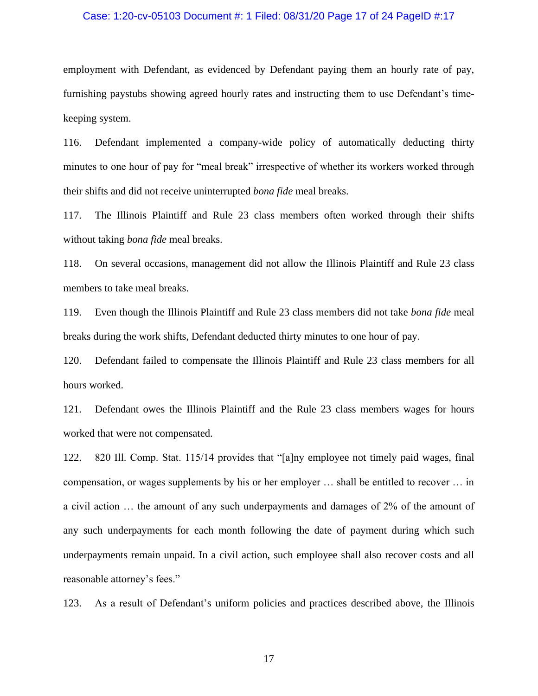### Case: 1:20-cv-05103 Document #: 1 Filed: 08/31/20 Page 17 of 24 PageID #:17

employment with Defendant, as evidenced by Defendant paying them an hourly rate of pay, furnishing paystubs showing agreed hourly rates and instructing them to use Defendant's timekeeping system.

116. Defendant implemented a company-wide policy of automatically deducting thirty minutes to one hour of pay for "meal break" irrespective of whether its workers worked through their shifts and did not receive uninterrupted *bona fide* meal breaks.

117. The Illinois Plaintiff and Rule 23 class members often worked through their shifts without taking *bona fide* meal breaks.

118. On several occasions, management did not allow the Illinois Plaintiff and Rule 23 class members to take meal breaks.

119. Even though the Illinois Plaintiff and Rule 23 class members did not take *bona fide* meal breaks during the work shifts, Defendant deducted thirty minutes to one hour of pay.

120. Defendant failed to compensate the Illinois Plaintiff and Rule 23 class members for all hours worked.

121. Defendant owes the Illinois Plaintiff and the Rule 23 class members wages for hours worked that were not compensated.

122. 820 Ill. Comp. Stat. 115/14 provides that "[a]ny employee not timely paid wages, final compensation, or wages supplements by his or her employer … shall be entitled to recover … in a civil action … the amount of any such underpayments and damages of 2% of the amount of any such underpayments for each month following the date of payment during which such underpayments remain unpaid. In a civil action, such employee shall also recover costs and all reasonable attorney's fees."

123. As a result of Defendant's uniform policies and practices described above, the Illinois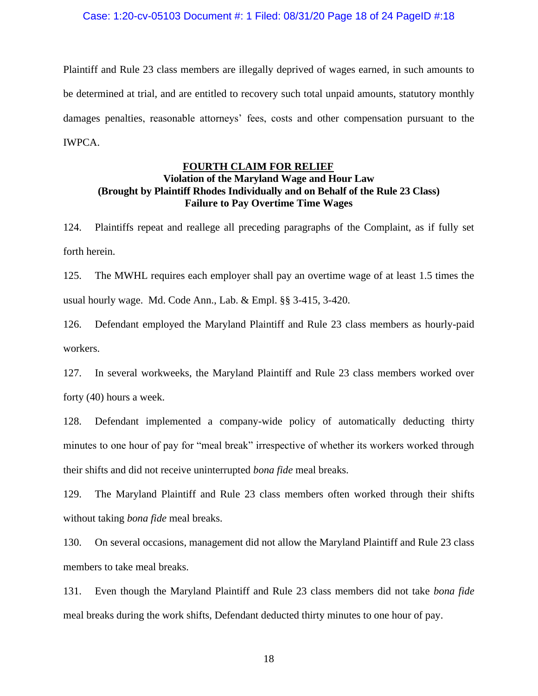Plaintiff and Rule 23 class members are illegally deprived of wages earned, in such amounts to be determined at trial, and are entitled to recovery such total unpaid amounts, statutory monthly damages penalties, reasonable attorneys' fees, costs and other compensation pursuant to the IWPCA.

### **FOURTH CLAIM FOR RELIEF**

# **Violation of the Maryland Wage and Hour Law (Brought by Plaintiff Rhodes Individually and on Behalf of the Rule 23 Class) Failure to Pay Overtime Time Wages**

124. Plaintiffs repeat and reallege all preceding paragraphs of the Complaint, as if fully set forth herein.

125. The MWHL requires each employer shall pay an overtime wage of at least 1.5 times the usual hourly wage. Md. Code Ann., Lab. & Empl. §§ 3-415, 3-420.

126. Defendant employed the Maryland Plaintiff and Rule 23 class members as hourly-paid workers.

127. In several workweeks, the Maryland Plaintiff and Rule 23 class members worked over forty (40) hours a week.

128. Defendant implemented a company-wide policy of automatically deducting thirty minutes to one hour of pay for "meal break" irrespective of whether its workers worked through their shifts and did not receive uninterrupted *bona fide* meal breaks.

129. The Maryland Plaintiff and Rule 23 class members often worked through their shifts without taking *bona fide* meal breaks.

130. On several occasions, management did not allow the Maryland Plaintiff and Rule 23 class members to take meal breaks.

131. Even though the Maryland Plaintiff and Rule 23 class members did not take *bona fide* meal breaks during the work shifts, Defendant deducted thirty minutes to one hour of pay.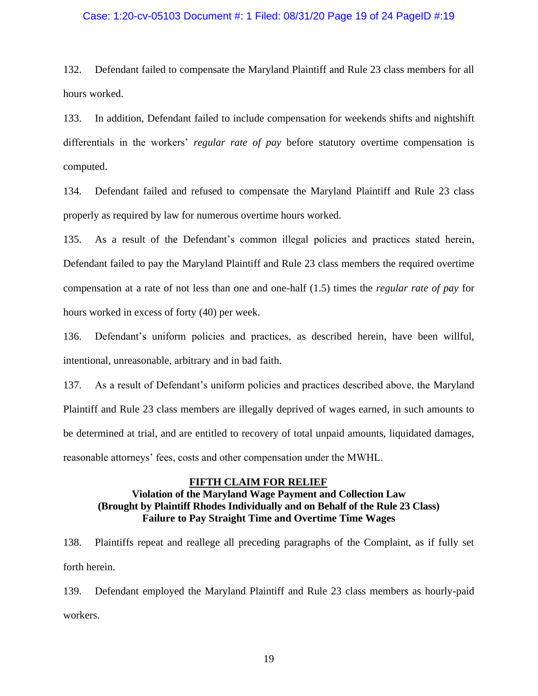# Case: 1:20-cv-05103 Document #: 1 Filed: 08/31/20 Page 19 of 24 PageID #:19

132. Defendant failed to compensate the Maryland Plaintiff and Rule 23 class members for all hours worked.

133. In addition, Defendant failed to include compensation for weekends shifts and nightshift differentials in the workers' *regular rate of pay* before statutory overtime compensation is computed.

134. Defendant failed and refused to compensate the Maryland Plaintiff and Rule 23 class properly as required by law for numerous overtime hours worked.

135. As a result of the Defendant's common illegal policies and practices stated herein, Defendant failed to pay the Maryland Plaintiff and Rule 23 class members the required overtime compensation at a rate of not less than one and one-half (1.5) times the *regular rate of pay* for hours worked in excess of forty (40) per week.

136. Defendant's uniform policies and practices, as described herein, have been willful, intentional, unreasonable, arbitrary and in bad faith.

137. As a result of Defendant's uniform policies and practices described above, the Maryland Plaintiff and Rule 23 class members are illegally deprived of wages earned, in such amounts to be determined at trial, and are entitled to recovery of total unpaid amounts, liquidated damages, reasonable attorneys' fees, costs and other compensation under the MWHL.

### **FIFTH CLAIM FOR RELIEF**

# **Violation of the Maryland Wage Payment and Collection Law (Brought by Plaintiff Rhodes Individually and on Behalf of the Rule 23 Class) Failure to Pay Straight Time and Overtime Time Wages**

138. Plaintiffs repeat and reallege all preceding paragraphs of the Complaint, as if fully set forth herein.

139. Defendant employed the Maryland Plaintiff and Rule 23 class members as hourly-paid workers.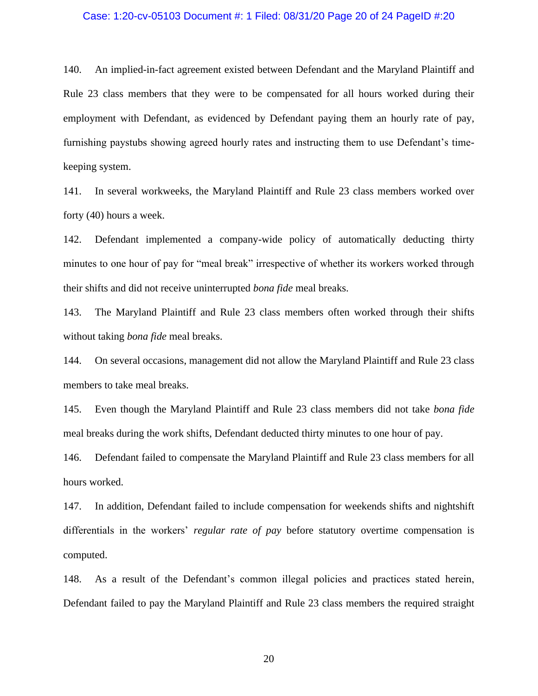### Case: 1:20-cv-05103 Document #: 1 Filed: 08/31/20 Page 20 of 24 PageID #:20

140. An implied-in-fact agreement existed between Defendant and the Maryland Plaintiff and Rule 23 class members that they were to be compensated for all hours worked during their employment with Defendant, as evidenced by Defendant paying them an hourly rate of pay, furnishing paystubs showing agreed hourly rates and instructing them to use Defendant's timekeeping system.

141. In several workweeks, the Maryland Plaintiff and Rule 23 class members worked over forty (40) hours a week.

142. Defendant implemented a company-wide policy of automatically deducting thirty minutes to one hour of pay for "meal break" irrespective of whether its workers worked through their shifts and did not receive uninterrupted *bona fide* meal breaks.

143. The Maryland Plaintiff and Rule 23 class members often worked through their shifts without taking *bona fide* meal breaks.

144. On several occasions, management did not allow the Maryland Plaintiff and Rule 23 class members to take meal breaks.

145. Even though the Maryland Plaintiff and Rule 23 class members did not take *bona fide* meal breaks during the work shifts, Defendant deducted thirty minutes to one hour of pay.

146. Defendant failed to compensate the Maryland Plaintiff and Rule 23 class members for all hours worked.

147. In addition, Defendant failed to include compensation for weekends shifts and nightshift differentials in the workers' *regular rate of pay* before statutory overtime compensation is computed.

148. As a result of the Defendant's common illegal policies and practices stated herein, Defendant failed to pay the Maryland Plaintiff and Rule 23 class members the required straight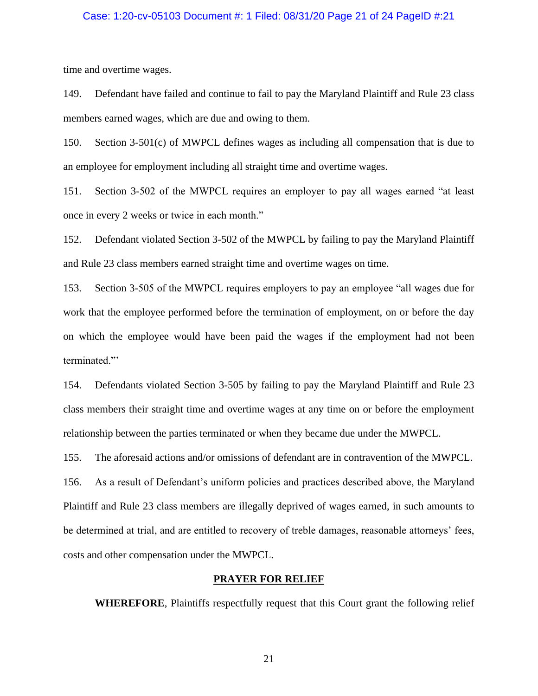# Case: 1:20-cv-05103 Document #: 1 Filed: 08/31/20 Page 21 of 24 PageID #:21

time and overtime wages.

149. Defendant have failed and continue to fail to pay the Maryland Plaintiff and Rule 23 class members earned wages, which are due and owing to them.

150. Section 3-501(c) of MWPCL defines wages as including all compensation that is due to an employee for employment including all straight time and overtime wages.

151. Section 3-502 of the MWPCL requires an employer to pay all wages earned "at least once in every 2 weeks or twice in each month."

152. Defendant violated Section 3-502 of the MWPCL by failing to pay the Maryland Plaintiff and Rule 23 class members earned straight time and overtime wages on time.

153. Section 3-505 of the MWPCL requires employers to pay an employee "all wages due for work that the employee performed before the termination of employment, on or before the day on which the employee would have been paid the wages if the employment had not been terminated."'

154. Defendants violated Section 3-505 by failing to pay the Maryland Plaintiff and Rule 23 class members their straight time and overtime wages at any time on or before the employment relationship between the parties terminated or when they became due under the MWPCL.

155. The aforesaid actions and/or omissions of defendant are in contravention of the MWPCL.

156. As a result of Defendant's uniform policies and practices described above, the Maryland Plaintiff and Rule 23 class members are illegally deprived of wages earned, in such amounts to be determined at trial, and are entitled to recovery of treble damages, reasonable attorneys' fees, costs and other compensation under the MWPCL.

#### **PRAYER FOR RELIEF**

**WHEREFORE**, Plaintiffs respectfully request that this Court grant the following relief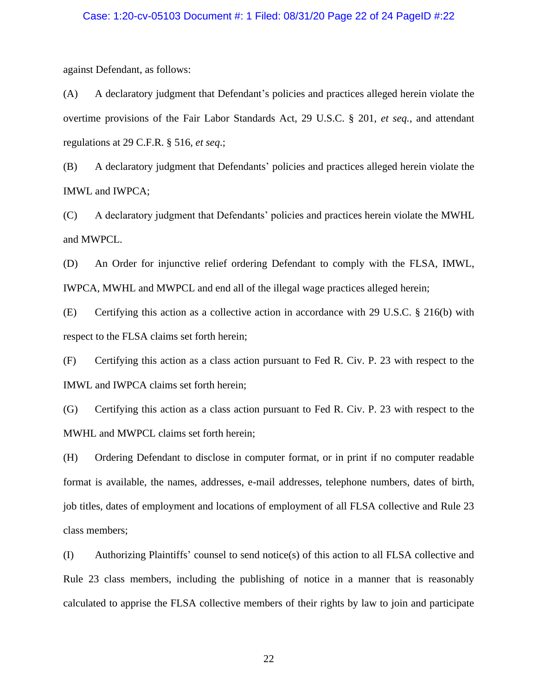### Case: 1:20-cv-05103 Document #: 1 Filed: 08/31/20 Page 22 of 24 PageID #:22

against Defendant, as follows:

(A) A declaratory judgment that Defendant's policies and practices alleged herein violate the overtime provisions of the Fair Labor Standards Act, 29 U.S.C. § 201, *et seq.*, and attendant regulations at 29 C.F.R. § 516, *et seq*.;

(B) A declaratory judgment that Defendants' policies and practices alleged herein violate the IMWL and IWPCA;

(C) A declaratory judgment that Defendants' policies and practices herein violate the MWHL and MWPCL.

(D) An Order for injunctive relief ordering Defendant to comply with the FLSA, IMWL, IWPCA, MWHL and MWPCL and end all of the illegal wage practices alleged herein;

(E) Certifying this action as a collective action in accordance with 29 U.S.C. § 216(b) with respect to the FLSA claims set forth herein;

(F) Certifying this action as a class action pursuant to Fed R. Civ. P. 23 with respect to the IMWL and IWPCA claims set forth herein;

(G) Certifying this action as a class action pursuant to Fed R. Civ. P. 23 with respect to the MWHL and MWPCL claims set forth herein;

(H) Ordering Defendant to disclose in computer format, or in print if no computer readable format is available, the names, addresses, e-mail addresses, telephone numbers, dates of birth, job titles, dates of employment and locations of employment of all FLSA collective and Rule 23 class members;

(I) Authorizing Plaintiffs' counsel to send notice(s) of this action to all FLSA collective and Rule 23 class members, including the publishing of notice in a manner that is reasonably calculated to apprise the FLSA collective members of their rights by law to join and participate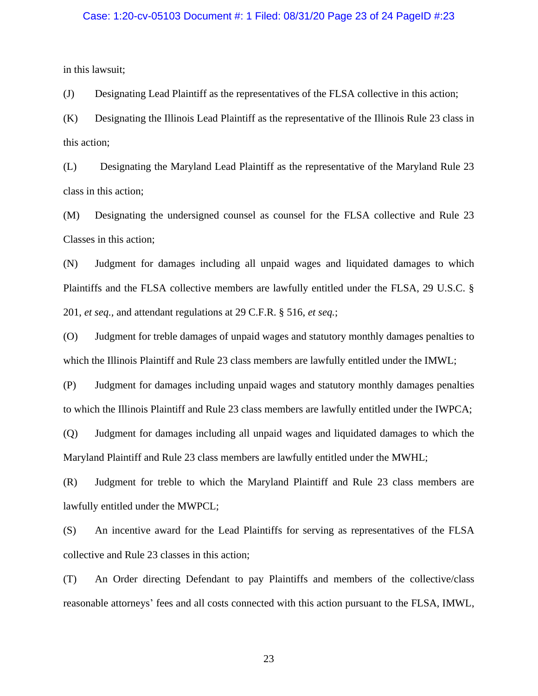# Case: 1:20-cv-05103 Document #: 1 Filed: 08/31/20 Page 23 of 24 PageID #:23

in this lawsuit;

(J) Designating Lead Plaintiff as the representatives of the FLSA collective in this action;

(K) Designating the Illinois Lead Plaintiff as the representative of the Illinois Rule 23 class in this action;

(L) Designating the Maryland Lead Plaintiff as the representative of the Maryland Rule 23 class in this action;

(M) Designating the undersigned counsel as counsel for the FLSA collective and Rule 23 Classes in this action;

(N) Judgment for damages including all unpaid wages and liquidated damages to which Plaintiffs and the FLSA collective members are lawfully entitled under the FLSA, 29 U.S.C. § 201, *et seq.,* and attendant regulations at 29 C.F.R. § 516, *et seq.*;

(O) Judgment for treble damages of unpaid wages and statutory monthly damages penalties to which the Illinois Plaintiff and Rule 23 class members are lawfully entitled under the IMWL;

(P) Judgment for damages including unpaid wages and statutory monthly damages penalties to which the Illinois Plaintiff and Rule 23 class members are lawfully entitled under the IWPCA;

(Q) Judgment for damages including all unpaid wages and liquidated damages to which the Maryland Plaintiff and Rule 23 class members are lawfully entitled under the MWHL;

(R) Judgment for treble to which the Maryland Plaintiff and Rule 23 class members are lawfully entitled under the MWPCL;

(S) An incentive award for the Lead Plaintiffs for serving as representatives of the FLSA collective and Rule 23 classes in this action;

(T) An Order directing Defendant to pay Plaintiffs and members of the collective/class reasonable attorneys' fees and all costs connected with this action pursuant to the FLSA, IMWL,